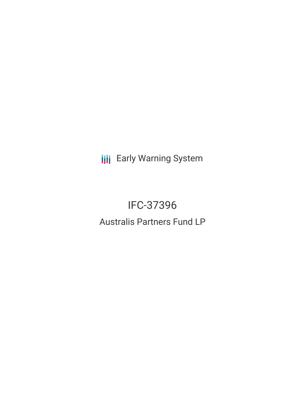**III** Early Warning System

# IFC-37396 Australis Partners Fund LP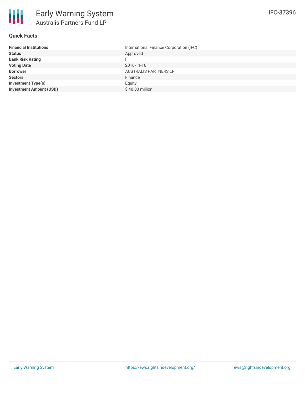

# **Quick Facts**

| <b>Financial Institutions</b>  | International Finance Corporation (IFC) |
|--------------------------------|-----------------------------------------|
| <b>Status</b>                  | Approved                                |
| <b>Bank Risk Rating</b>        | FI                                      |
| <b>Voting Date</b>             | 2016-11-16                              |
| <b>Borrower</b>                | <b>AUSTRALIS PARTNERS LP</b>            |
| <b>Sectors</b>                 | Finance                                 |
| <b>Investment Type(s)</b>      | Equity                                  |
| <b>Investment Amount (USD)</b> | \$40.00 million                         |
|                                |                                         |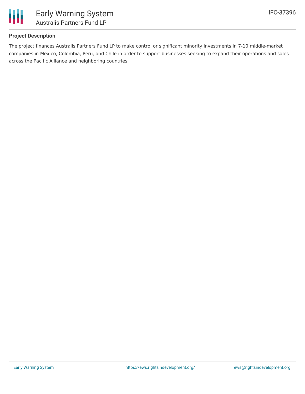

# **Project Description**

The project finances Australis Partners Fund LP to make control or significant minority investments in 7-10 middle-market companies in Mexico, Colombia, Peru, and Chile in order to support businesses seeking to expand their operations and sales across the Pacific Alliance and neighboring countries.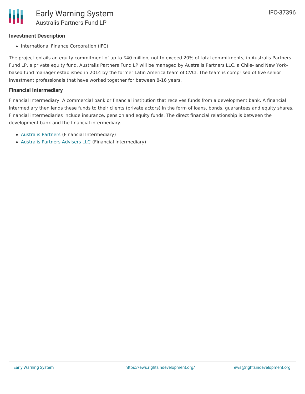#### **Investment Description**

• International Finance Corporation (IFC)

The project entails an equity commitment of up to \$40 million, not to exceed 20% of total commitments, in Australis Partners Fund LP, a private equity fund. Australis Partners Fund LP will be managed by Australis Partners LLC, a Chile- and New Yorkbased fund manager established in 2014 by the former Latin America team of CVCI. The team is comprised of five senior investment professionals that have worked together for between 8-16 years.

#### **Financial Intermediary**

Financial Intermediary: A commercial bank or financial institution that receives funds from a development bank. A financial intermediary then lends these funds to their clients (private actors) in the form of loans, bonds, guarantees and equity shares. Financial intermediaries include insurance, pension and equity funds. The direct financial relationship is between the development bank and the financial intermediary.

- [Australis](file:///actor/1010/) Partners (Financial Intermediary)
- [Australis](file:///actor/1231/) Partners Advisers LLC (Financial Intermediary)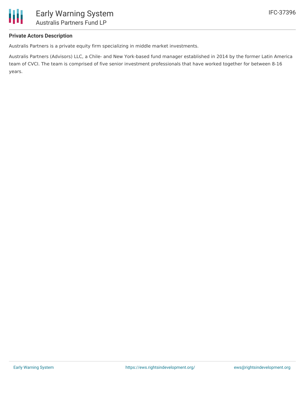

# **Private Actors Description**

Australis Partners is a private equity firm specializing in middle market investments.

Australis Partners (Advisors) LLC, a Chile- and New York-based fund manager established in 2014 by the former Latin America team of CVCI. The team is comprised of five senior investment professionals that have worked together for between 8-16 years.